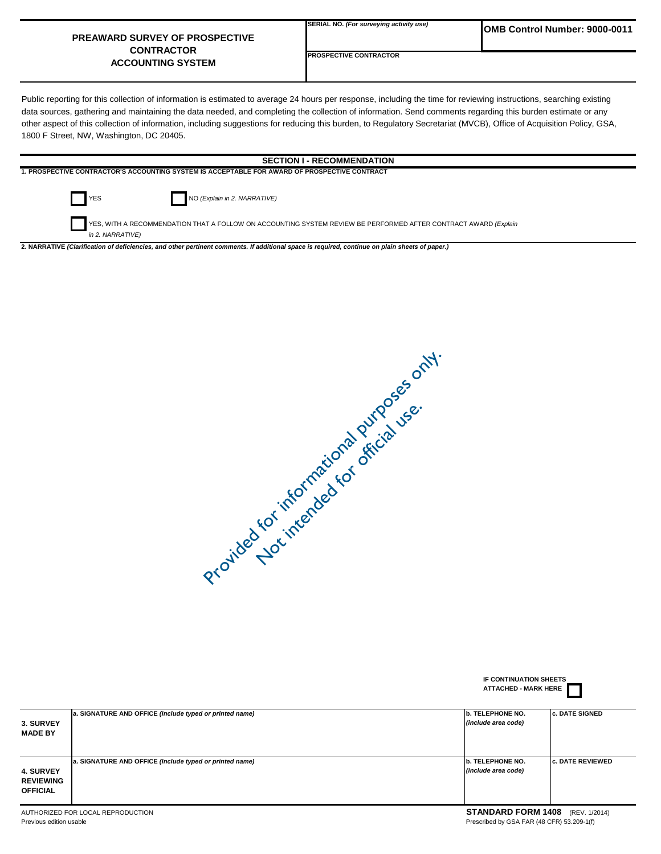## **PREAWARD SURVEY OF PROSPECTIVE CONTRACTOR ACCOUNTING SYSTEM**

**PROSPECTIVE CONTRACTOR**

Public reporting for this collection of information is estimated to average 24 hours per response, including the time for reviewing instructions, searching existing data sources, gathering and maintaining the data needed, and completing the collection of information. Send comments regarding this burden estimate or any other aspect of this collection of information, including suggestions for reducing this burden, to Regulatory Secretariat (MVCB), Office of Acquisition Policy, GSA, 1800 F Street, NW, Washington, DC 20405.

## **SECTION I - RECOMMENDATION**

**1. PROSPECTIVE CONTRACTOR'S ACCOUNTING SYSTEM IS ACCEPTABLE FOR AWARD OF PROSPECTIVE CONTRACT**



YES NO *(Explain in 2. NARRATIVE)*

 YES, WITH A RECOMMENDATION THAT A FOLLOW ON ACCOUNTING SYSTEM REVIEW BE PERFORMED AFTER CONTRACT AWARD *(Explain in 2. NARRATIVE)*

**2. NARRATIVE** *(Clarification of deficiencies, and other pertinent comments. If additional space is required, continue on plain sheets of paper.)*

Provided for informational purposes only. Not intended for official use.

|                                                         |                                                         | IF CONTINUATION SHEETS<br><b>ATTACHED - MARK HERE</b> |                         |  |
|---------------------------------------------------------|---------------------------------------------------------|-------------------------------------------------------|-------------------------|--|
| 3. SURVEY                                               | a. SIGNATURE AND OFFICE (Include typed or printed name) | b. TELEPHONE NO.<br>(include area code)               | <b>c. DATE SIGNED</b>   |  |
| <b>MADE BY</b>                                          |                                                         |                                                       |                         |  |
|                                                         | a. SIGNATURE AND OFFICE (Include typed or printed name) | b. TELEPHONE NO.                                      | <b>c. DATE REVIEWED</b> |  |
| <b>4. SURVEY</b><br><b>REVIEWING</b><br><b>OFFICIAL</b> |                                                         | (include area code)                                   |                         |  |

## AUTHORIZED FOR LOCAL REPRODUCTION<br> **STANDARD FORM 1408** (REV. 1/2014)<br> **Prescribed by GSA FAR (48 CFR) 53.209-1(f)**<br> **Prescribed by GSA FAR (48 CFR) 53.209-1(f)** Prescribed by GSA FAR (48 CFR) 53.209-1(f)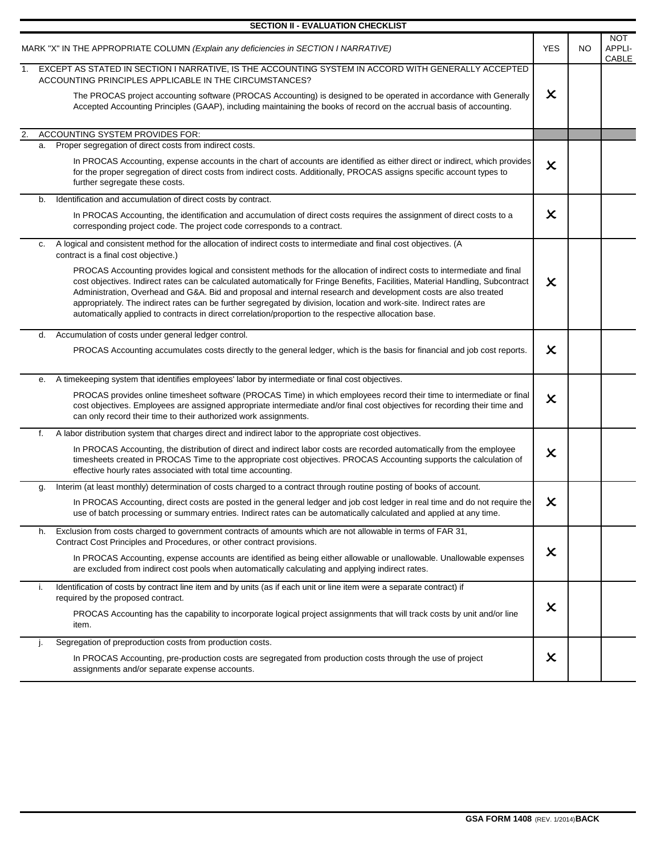|                                                                                      | <b>SECTION II - EVALUATION CHECKLIST</b>                                                                                                                                                                                                                                                                                                                                                                                                                                                                                                                                                                        |                           |                |                               |
|--------------------------------------------------------------------------------------|-----------------------------------------------------------------------------------------------------------------------------------------------------------------------------------------------------------------------------------------------------------------------------------------------------------------------------------------------------------------------------------------------------------------------------------------------------------------------------------------------------------------------------------------------------------------------------------------------------------------|---------------------------|----------------|-------------------------------|
| MARK "X" IN THE APPROPRIATE COLUMN (Explain any deficiencies in SECTION I NARRATIVE) |                                                                                                                                                                                                                                                                                                                                                                                                                                                                                                                                                                                                                 | <b>YES</b>                | NO.            | <b>NOT</b><br>APPLI-<br>CABLE |
| 1.                                                                                   | EXCEPT AS STATED IN SECTION I NARRATIVE, IS THE ACCOUNTING SYSTEM IN ACCORD WITH GENERALLY ACCEPTED<br>ACCOUNTING PRINCIPLES APPLICABLE IN THE CIRCUMSTANCES?<br>The PROCAS project accounting software (PROCAS Accounting) is designed to be operated in accordance with Generally<br>Accepted Accounting Principles (GAAP), including maintaining the books of record on the accrual basis of accounting.                                                                                                                                                                                                     | $\pmb{\times}$            |                |                               |
| 2.                                                                                   | ACCOUNTING SYSTEM PROVIDES FOR:                                                                                                                                                                                                                                                                                                                                                                                                                                                                                                                                                                                 |                           |                |                               |
|                                                                                      | a. Proper segregation of direct costs from indirect costs.                                                                                                                                                                                                                                                                                                                                                                                                                                                                                                                                                      |                           |                |                               |
|                                                                                      | In PROCAS Accounting, expense accounts in the chart of accounts are identified as either direct or indirect, which provides<br>for the proper segregation of direct costs from indirect costs. Additionally, PROCAS assigns specific account types to<br>further segregate these costs.                                                                                                                                                                                                                                                                                                                         | $\boldsymbol{\mathsf{x}}$ |                |                               |
|                                                                                      | Identification and accumulation of direct costs by contract.<br>b.                                                                                                                                                                                                                                                                                                                                                                                                                                                                                                                                              |                           |                |                               |
|                                                                                      | In PROCAS Accounting, the identification and accumulation of direct costs requires the assignment of direct costs to a<br>corresponding project code. The project code corresponds to a contract.                                                                                                                                                                                                                                                                                                                                                                                                               | $\boldsymbol{\mathsf{x}}$ |                |                               |
|                                                                                      | A logical and consistent method for the allocation of indirect costs to intermediate and final cost objectives. (A<br>c.<br>contract is a final cost objective.)                                                                                                                                                                                                                                                                                                                                                                                                                                                |                           |                |                               |
|                                                                                      | PROCAS Accounting provides logical and consistent methods for the allocation of indirect costs to intermediate and final<br>cost objectives. Indirect rates can be calculated automatically for Fringe Benefits, Facilities, Material Handling, Subcontract<br>Administration, Overhead and G&A. Bid and proposal and internal research and development costs are also treated<br>appropriately. The indirect rates can be further segregated by division, location and work-site. Indirect rates are<br>automatically applied to contracts in direct correlation/proportion to the respective allocation base. | $\boldsymbol{\mathsf{x}}$ |                |                               |
|                                                                                      | Accumulation of costs under general ledger control.<br>d.                                                                                                                                                                                                                                                                                                                                                                                                                                                                                                                                                       |                           |                |                               |
|                                                                                      | PROCAS Accounting accumulates costs directly to the general ledger, which is the basis for financial and job cost reports.                                                                                                                                                                                                                                                                                                                                                                                                                                                                                      | $\boldsymbol{\mathsf{x}}$ |                |                               |
|                                                                                      | A timekeeping system that identifies employees' labor by intermediate or final cost objectives.<br>е.                                                                                                                                                                                                                                                                                                                                                                                                                                                                                                           |                           |                |                               |
|                                                                                      | PROCAS provides online timesheet software (PROCAS Time) in which employees record their time to intermediate or final<br>cost objectives. Employees are assigned appropriate intermediate and/or final cost objectives for recording their time and<br>can only record their time to their authorized work assignments.                                                                                                                                                                                                                                                                                         | $\boldsymbol{\mathsf{x}}$ |                |                               |
|                                                                                      | A labor distribution system that charges direct and indirect labor to the appropriate cost objectives.<br>f.                                                                                                                                                                                                                                                                                                                                                                                                                                                                                                    |                           |                |                               |
|                                                                                      | In PROCAS Accounting, the distribution of direct and indirect labor costs are recorded automatically from the employee<br>timesheets created in PROCAS Time to the appropriate cost objectives. PROCAS Accounting supports the calculation of<br>effective hourly rates associated with total time accounting.                                                                                                                                                                                                                                                                                                  | $\boldsymbol{\mathsf{x}}$ |                |                               |
|                                                                                      | Interim (at least monthly) determination of costs charged to a contract through routine posting of books of account.<br>g.                                                                                                                                                                                                                                                                                                                                                                                                                                                                                      |                           |                |                               |
|                                                                                      | In PROCAS Accounting, direct costs are posted in the general ledger and job cost ledger in real time and do not require the<br>use of batch processing or summary entries. Indirect rates can be automatically calculated and applied at any time.                                                                                                                                                                                                                                                                                                                                                              | X                         |                |                               |
|                                                                                      | Exclusion from costs charged to government contracts of amounts which are not allowable in terms of FAR 31,<br>h.<br>Contract Cost Principles and Procedures, or other contract provisions.                                                                                                                                                                                                                                                                                                                                                                                                                     |                           |                |                               |
|                                                                                      | In PROCAS Accounting, expense accounts are identified as being either allowable or unallowable. Unallowable expenses<br>are excluded from indirect cost pools when automatically calculating and applying indirect rates.                                                                                                                                                                                                                                                                                                                                                                                       | X                         |                |                               |
|                                                                                      | Identification of costs by contract line item and by units (as if each unit or line item were a separate contract) if<br>i.<br>required by the proposed contract.                                                                                                                                                                                                                                                                                                                                                                                                                                               |                           |                |                               |
|                                                                                      | PROCAS Accounting has the capability to incorporate logical project assignments that will track costs by unit and/or line<br>item.                                                                                                                                                                                                                                                                                                                                                                                                                                                                              |                           | $\pmb{\times}$ |                               |
|                                                                                      | Segregation of preproduction costs from production costs.<br>J.                                                                                                                                                                                                                                                                                                                                                                                                                                                                                                                                                 |                           |                |                               |
|                                                                                      | In PROCAS Accounting, pre-production costs are segregated from production costs through the use of project<br>assignments and/or separate expense accounts.                                                                                                                                                                                                                                                                                                                                                                                                                                                     | X                         |                |                               |

**GSA FORM 1408** (REV. 1/2014)**BACK**